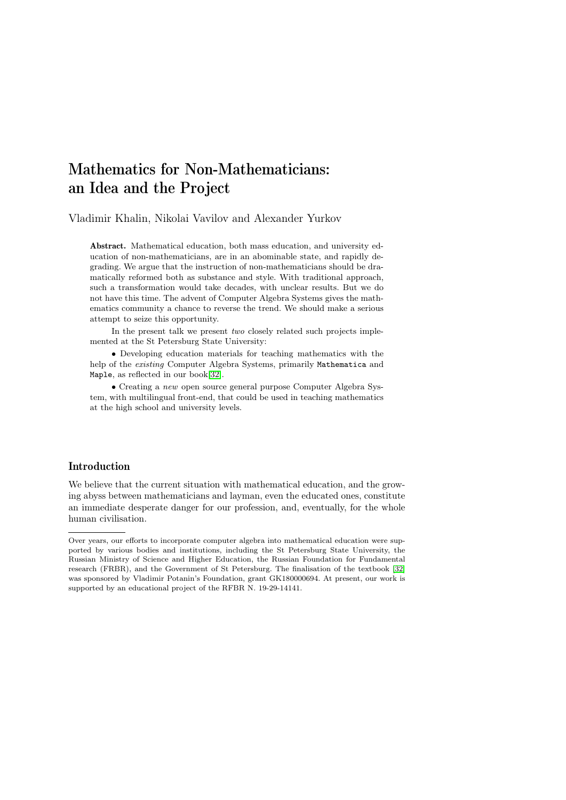# Mathematics for Non-Mathematicians: an Idea and the Project

Vladimir Khalin, Nikolai Vavilov and Alexander Yurkov

Abstract. Mathematical education, both mass education, and university education of non-mathematicians, are in an abominable state, and rapidly degrading. We argue that the instruction of non-mathematicians should be dramatically reformed both as substance and style. With traditional approach, such a transformation would take decades, with unclear results. But we do not have this time. The advent of Computer Algebra Systems gives the mathematics community a chance to reverse the trend. We should make a serious attempt to seize this opportunity.

In the present talk we present  $two$  closely related such projects implemented at the St Petersburg State University:

• Developing education materials for teaching mathematics with the help of the existing Computer Algebra Systems, primarily Mathematica and Maple, as reflected in our book[\[32\]](#page-28-0).

• Creating a new open source general purpose Computer Algebra System, with multilingual front-end, that could be used in teaching mathematics at the high school and university levels.

# Introduction

We believe that the current situation with mathematical education, and the growing abyss between mathematicians and layman, even the educated ones, constitute an immediate desperate danger for our profession, and, eventually, for the whole human civilisation.

Over years, our efforts to incorporate computer algebra into mathematical education were supported by various bodies and institutions, including the St Petersburg State University, the Russian Ministry of Science and Higher Education, the Russian Foundation for Fundamental research (FRBR), and the Government of St Petersburg. The finalisation of the textbook [\[32\]](#page-28-0) was sponsored by Vladimir Potanin's Foundation, grant GK180000694. At present, our work is supported by an educational project of the RFBR N. 19-29-14141.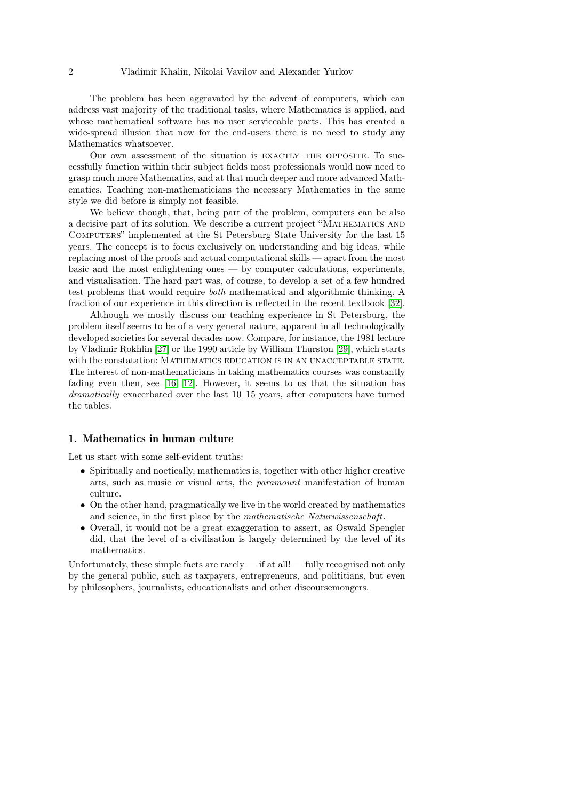The problem has been aggravated by the advent of computers, which can address vast majority of the traditional tasks, where Mathematics is applied, and whose mathematical software has no user serviceable parts. This has created a wide-spread illusion that now for the end-users there is no need to study any Mathematics whatsoever.

Our own assessment of the situation is exactly the opposite. To successfully function within their subject fields most professionals would now need to grasp much more Mathematics, and at that much deeper and more advanced Mathematics. Teaching non-mathematicians the necessary Mathematics in the same style we did before is simply not feasible.

We believe though, that, being part of the problem, computers can be also a decisive part of its solution. We describe a current project "Mathematics and Computers" implemented at the St Petersburg State University for the last 15 years. The concept is to focus exclusively on understanding and big ideas, while replacing most of the proofs and actual computational skills — apart from the most basic and the most enlightening ones — by computer calculations, experiments, and visualisation. The hard part was, of course, to develop a set of a few hundred test problems that would require both mathematical and algorithmic thinking. A fraction of our experience in this direction is reflected in the recent textbook [\[32\]](#page-28-0).

Although we mostly discuss our teaching experience in St Petersburg, the problem itself seems to be of a very general nature, apparent in all technologically developed societies for several decades now. Compare, for instance, the 1981 lecture by Vladimir Rokhlin [\[27\]](#page-28-1) or the 1990 article by William Thurston [\[29\]](#page-28-2), which starts with the constatation: MATHEMATICS EDUCATION IS IN AN UNACCEPTABLE STATE. The interest of non-mathematicians in taking mathematics courses was constantly fading even then, see [\[16,](#page-27-0) [12\]](#page-27-1). However, it seems to us that the situation has dramatically exacerbated over the last 10–15 years, after computers have turned the tables.

# 1. Mathematics in human culture

Let us start with some self-evident truths:

- Spiritually and noetically, mathematics is, together with other higher creative arts, such as music or visual arts, the paramount manifestation of human culture.
- On the other hand, pragmatically we live in the world created by mathematics and science, in the first place by the mathematische Naturwissenschaft.
- Overall, it would not be a great exaggeration to assert, as Oswald Spengler did, that the level of a civilisation is largely determined by the level of its mathematics.

Unfortunately, these simple facts are rarely — if at all! — fully recognised not only by the general public, such as taxpayers, entrepreneurs, and polititians, but even by philosophers, journalists, educationalists and other discoursemongers.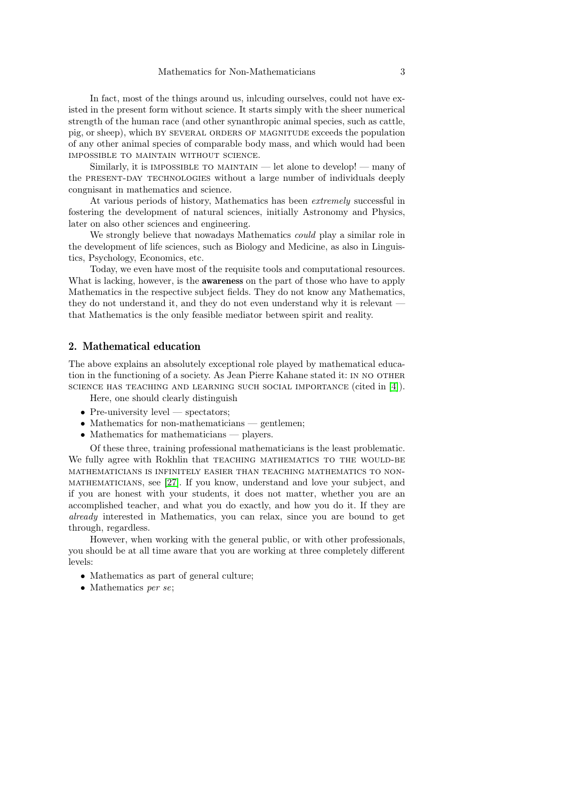In fact, most of the things around us, inlcuding ourselves, could not have existed in the present form without science. It starts simply with the sheer numerical strength of the human race (and other synanthropic animal species, such as cattle, pig, or sheep), which by several orders of magnitude exceeds the population of any other animal species of comparable body mass, and which would had been impossible to maintain without science.

Similarly, it is IMPOSSIBLE TO MAINTAIN — let alone to develop! — many of the present-day technologies without a large number of individuals deeply congnisant in mathematics and science.

At various periods of history, Mathematics has been extremely successful in fostering the development of natural sciences, initially Astronomy and Physics, later on also other sciences and engineering.

We strongly believe that nowadays Mathematics *could* play a similar role in the development of life sciences, such as Biology and Medicine, as also in Linguistics, Psychology, Economics, etc.

Today, we even have most of the requisite tools and computational resources. What is lacking, however, is the **awareness** on the part of those who have to apply Mathematics in the respective subject fields. They do not know any Mathematics, they do not understand it, and they do not even understand why it is relevant that Mathematics is the only feasible mediator between spirit and reality.

# 2. Mathematical education

The above explains an absolutely exceptional role played by mathematical education in the functioning of a society. As Jean Pierre Kahane stated it: in no other science has teaching and learning such social importance (cited in [\[4\]](#page-26-0)).

- Here, one should clearly distinguish
- Pre-university level spectators;
- Mathematics for non-mathematicians gentlemen;
- Mathematics for mathematicians players.

Of these three, training professional mathematicians is the least problematic. We fully agree with Rokhlin that TEACHING MATHEMATICS TO THE WOULD-BE mathematicians is infinitely easier than teaching mathematics to nonmathematicians, see [\[27\]](#page-28-1). If you know, understand and love your subject, and if you are honest with your students, it does not matter, whether you are an accomplished teacher, and what you do exactly, and how you do it. If they are already interested in Mathematics, you can relax, since you are bound to get through, regardless.

However, when working with the general public, or with other professionals, you should be at all time aware that you are working at three completely different levels:

- Mathematics as part of general culture;
- Mathematics per se;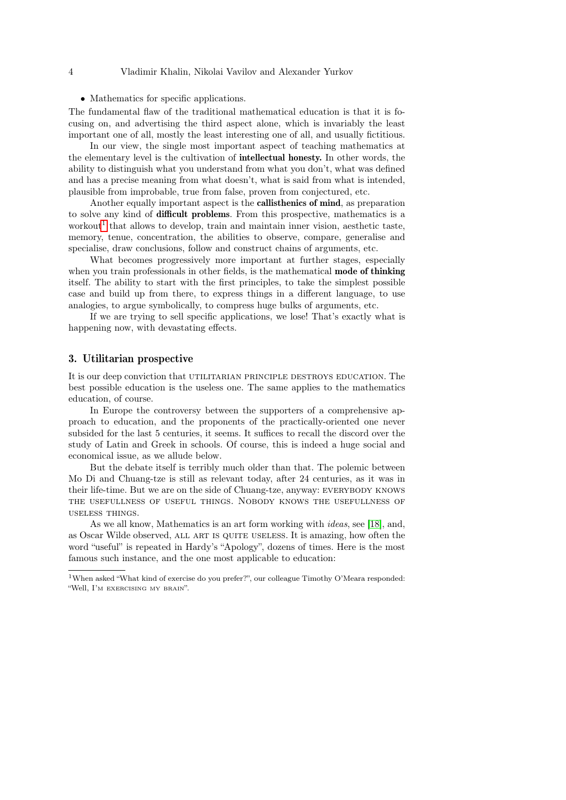• Mathematics for specific applications.

The fundamental flaw of the traditional mathematical education is that it is focusing on, and advertising the third aspect alone, which is invariably the least important one of all, mostly the least interesting one of all, and usually fictitious.

In our view, the single most important aspect of teaching mathematics at the elementary level is the cultivation of intellectual honesty. In other words, the ability to distinguish what you understand from what you don't, what was defined and has a precise meaning from what doesn't, what is said from what is intended, plausible from improbable, true from false, proven from conjectured, etc.

Another equally important aspect is the callisthenics of mind, as preparation to solve any kind of difficult problems. From this prospective, mathematics is a workout<sup>[1](#page-3-0)</sup> that allows to develop, train and maintain inner vision, aesthetic taste, memory, tenue, concentration, the abilities to observe, compare, generalise and specialise, draw conclusions, follow and construct chains of arguments, etc.

What becomes progressively more important at further stages, especially when you train professionals in other fields, is the mathematical **mode of thinking** itself. The ability to start with the first principles, to take the simplest possible case and build up from there, to express things in a different language, to use analogies, to argue symbolically, to compress huge bulks of arguments, etc.

If we are trying to sell specific applications, we lose! That's exactly what is happening now, with devastating effects.

### 3. Utilitarian prospective

It is our deep conviction that utilitarian principle destroys education. The best possible education is the useless one. The same applies to the mathematics education, of course.

In Europe the controversy between the supporters of a comprehensive approach to education, and the proponents of the practically-oriented one never subsided for the last 5 centuries, it seems. It suffices to recall the discord over the study of Latin and Greek in schools. Of course, this is indeed a huge social and economical issue, as we allude below.

But the debate itself is terribly much older than that. The polemic between Mo Di and Chuang-tze is still as relevant today, after 24 centuries, as it was in their life-time. But we are on the side of Chuang-tze, anyway: EVERYBODY KNOWS the usefullness of useful things. Nobody knows the usefullness of useless things.

As we all know, Mathematics is an art form working with ideas, see [\[18\]](#page-27-2), and, as Oscar Wilde observed, all art is quite useless. It is amazing, how often the word "useful" is repeated in Hardy's "Apology", dozens of times. Here is the most famous such instance, and the one most applicable to education:

<span id="page-3-0"></span><sup>1</sup>When asked "What kind of exercise do you prefer?", our colleague Timothy O'Meara responded: "Well, I'm exercising my brain".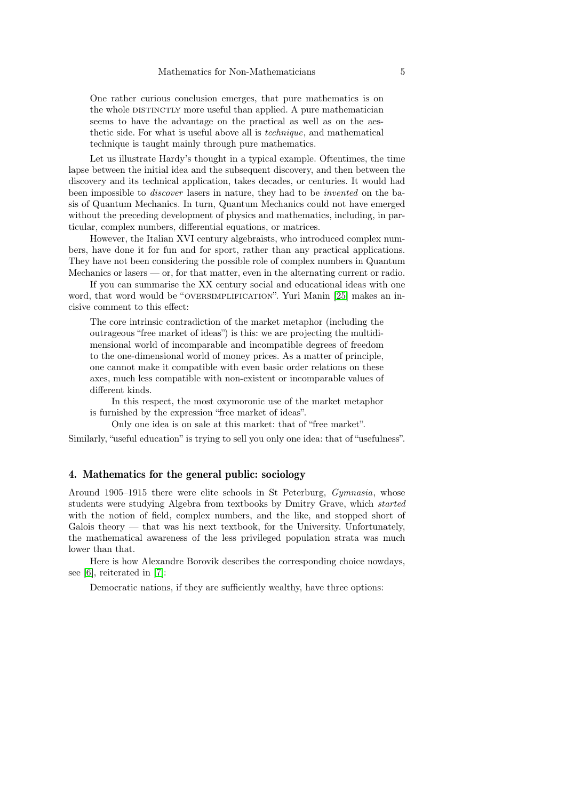One rather curious conclusion emerges, that pure mathematics is on the whole DISTINCTLY more useful than applied. A pure mathematician seems to have the advantage on the practical as well as on the aesthetic side. For what is useful above all is technique, and mathematical technique is taught mainly through pure mathematics.

Let us illustrate Hardy's thought in a typical example. Oftentimes, the time lapse between the initial idea and the subsequent discovery, and then between the discovery and its technical application, takes decades, or centuries. It would had been impossible to discover lasers in nature, they had to be invented on the basis of Quantum Mechanics. In turn, Quantum Mechanics could not have emerged without the preceding development of physics and mathematics, including, in particular, complex numbers, differential equations, or matrices.

However, the Italian XVI century algebraists, who introduced complex numbers, have done it for fun and for sport, rather than any practical applications. They have not been considering the possible role of complex numbers in Quantum Mechanics or lasers — or, for that matter, even in the alternating current or radio.

If you can summarise the XX century social and educational ideas with one word, that word would be "OVERSIMPLIFICATION". Yuri Manin [\[25\]](#page-27-3) makes an incisive comment to this effect:

The core intrinsic contradiction of the market metaphor (including the outrageous "free market of ideas") is this: we are projecting the multidimensional world of incomparable and incompatible degrees of freedom to the one-dimensional world of money prices. As a matter of principle, one cannot make it compatible with even basic order relations on these axes, much less compatible with non-existent or incomparable values of different kinds.

In this respect, the most oxymoronic use of the market metaphor is furnished by the expression "free market of ideas".

Only one idea is on sale at this market: that of "free market".

Similarly, "useful education" is trying to sell you only one idea: that of "usefulness".

# 4. Mathematics for the general public: sociology

Around 1905–1915 there were elite schools in St Peterburg, Gymnasia, whose students were studying Algebra from textbooks by Dmitry Grave, which started with the notion of field, complex numbers, and the like, and stopped short of Galois theory — that was his next textbook, for the University. Unfortunately, the mathematical awareness of the less privileged population strata was much lower than that.

Here is how Alexandre Borovik describes the corresponding choice nowdays, see [\[6\]](#page-26-1), reiterated in [\[7\]](#page-26-2):

Democratic nations, if they are sufficiently wealthy, have three options: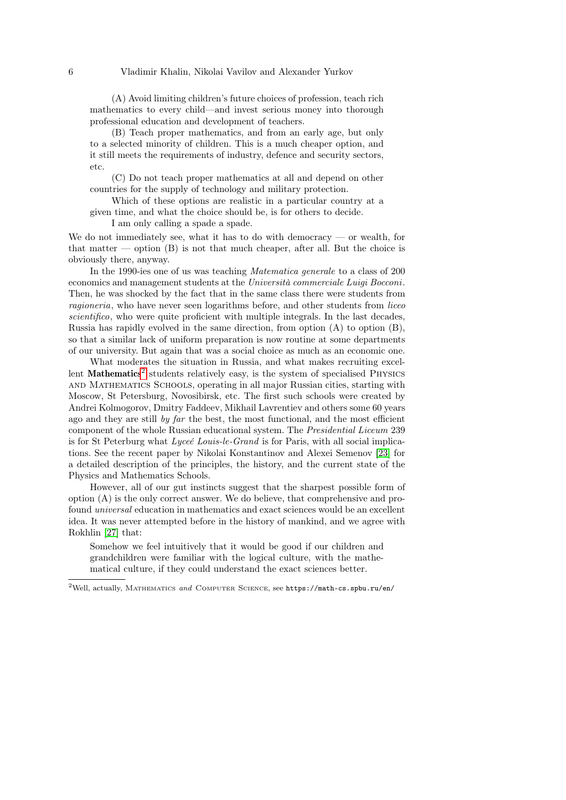(A) Avoid limiting children's future choices of profession, teach rich mathematics to every child—and invest serious money into thorough professional education and development of teachers.

(B) Teach proper mathematics, and from an early age, but only to a selected minority of children. This is a much cheaper option, and it still meets the requirements of industry, defence and security sectors, etc.

(C) Do not teach proper mathematics at all and depend on other countries for the supply of technology and military protection.

Which of these options are realistic in a particular country at a given time, and what the choice should be, is for others to decide.

I am only calling a spade a spade.

We do not immediately see, what it has to do with democracy  $\sim$  or wealth, for that matter — option  $(B)$  is not that much cheaper, after all. But the choice is obviously there, anyway.

In the 1990-ies one of us was teaching Matematica generale to a class of 200 economics and management students at the Università commerciale Luigi Bocconi. Then, he was shocked by the fact that in the same class there were students from ragioneria, who have never seen logarithms before, and other students from liceo scientifico, who were quite proficient with multiple integrals. In the last decades, Russia has rapidly evolved in the same direction, from option (A) to option (B), so that a similar lack of uniform preparation is now routine at some departments of our university. But again that was a social choice as much as an economic one.

What moderates the situation in Russia, and what makes recruiting excel-lent Mathematics<sup>[2](#page-5-0)</sup> students relatively easy, is the system of specialised PHYSICS and Mathematics Schools, operating in all major Russian cities, starting with Moscow, St Petersburg, Novosibirsk, etc. The first such schools were created by Andrei Kolmogorov, Dmitry Faddeev, Mikhail Lavrentiev and others some 60 years ago and they are still by  $\eta$  far the best, the most functional, and the most efficient component of the whole Russian educational system. The Presidential Liceum 239 is for St Peterburg what Lyceé Louis-le-Grand is for Paris, with all social implications. See the recent paper by Nikolai Konstantinov and Alexei Semenov [\[23\]](#page-27-4) for a detailed description of the principles, the history, and the current state of the Physics and Mathematics Schools.

However, all of our gut instincts suggest that the sharpest possible form of option (A) is the only correct answer. We do believe, that comprehensive and profound universal education in mathematics and exact sciences would be an excellent idea. It was never attempted before in the history of mankind, and we agree with Rokhlin [\[27\]](#page-28-1) that:

Somehow we feel intuitively that it would be good if our children and grandchildren were familiar with the logical culture, with the mathematical culture, if they could understand the exact sciences better.

<span id="page-5-0"></span> $2$ Well, actually, MATHEMATICS and COMPUTER SCIENCE, see https://math-cs.spbu.ru/en/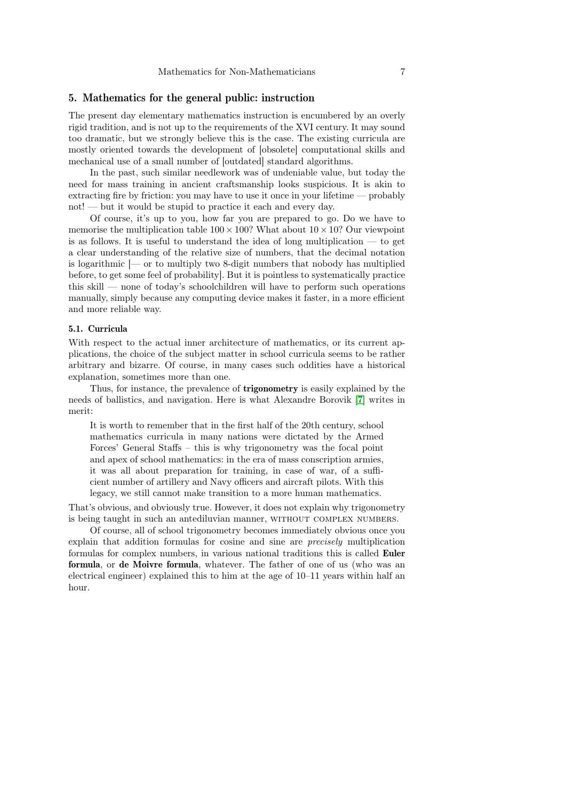# 5. Mathematics for the general public: instruction

The present day elementary mathematics instruction is encumbered by an overly rigid tradition, and is not up to the requirements of the XVI century. It may sound too dramatic, but we strongly believe this is the case. The existing curricula are mostly oriented towards the development of [obsolete] computational skills and mechanical use of a small number of [outdated] standard algorithms.

In the past, such similar needlework was of undeniable value, but today the need for mass training in ancient craftsmanship looks suspicious. It is akin to extracting fire by friction: you may have to use it once in your lifetime — probably not! — but it would be stupid to practice it each and every day.

Of course, it's up to you, how far you are prepared to go. Do we have to memorise the multiplication table  $100 \times 100$ ? What about  $10 \times 10$ ? Our viewpoint is as follows. It is useful to understand the idea of long multiplication — to get a clear understanding of the relative size of numbers, that the decimal notation is logarithmic [— or to multiply two 8-digit numbers that nobody has multiplied before, to get some feel of probability]. But it is pointless to systematically practice this skill — none of today's schoolchildren will have to perform such operations manually, simply because any computing device makes it faster, in a more efficient and more reliable way.

# 5.1. Curricula

With respect to the actual inner architecture of mathematics, or its current applications, the choice of the subject matter in school curricula seems to be rather arbitrary and bizarre. Of course, in many cases such oddities have a historical explanation, sometimes more than one.

Thus, for instance, the prevalence of trigonometry is easily explained by the needs of ballistics, and navigation. Here is what Alexandre Borovik [\[7\]](#page-26-2) writes in merit:

It is worth to remember that in the first half of the 20th century, school mathematics curricula in many nations were dictated by the Armed Forces' General Staffs – this is why trigonometry was the focal point and apex of school mathematics: in the era of mass conscription armies, it was all about preparation for training, in case of war, of a sufficient number of artillery and Navy officers and aircraft pilots. With this legacy, we still cannot make transition to a more human mathematics.

That's obvious, and obviously true. However, it does not explain why trigonometry is being taught in such an antediluvian manner, without complex numbers.

Of course, all of school trigonometry becomes immediately obvious once you explain that addition formulas for cosine and sine are precisely multiplication formulas for complex numbers, in various national traditions this is called Euler formula, or de Moivre formula, whatever. The father of one of us (who was an electrical engineer) explained this to him at the age of 10–11 years within half an hour.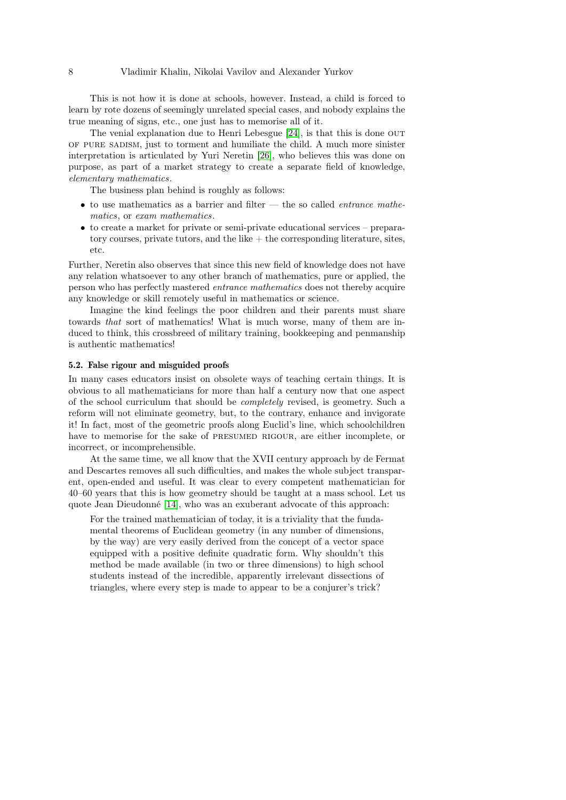This is not how it is done at schools, however. Instead, a child is forced to learn by rote dozens of seemingly unrelated special cases, and nobody explains the true meaning of signs, etc., one just has to memorise all of it.

The venial explanation due to Henri Lebesgue [\[24\]](#page-27-5), is that this is done out of pure sadism, just to torment and humiliate the child. A much more sinister interpretation is articulated by Yuri Neretin [\[26\]](#page-28-3), who believes this was done on purpose, as part of a market strategy to create a separate field of knowledge, elementary mathematics.

The business plan behind is roughly as follows:

- to use mathematics as a barrier and filter the so called *entrance mathe*matics, or exam mathematics.
- to create a market for private or semi-private educational services preparatory courses, private tutors, and the like  $+$  the corresponding literature, sites, etc.

Further, Neretin also observes that since this new field of knowledge does not have any relation whatsoever to any other branch of mathematics, pure or applied, the person who has perfectly mastered entrance mathematics does not thereby acquire any knowledge or skill remotely useful in mathematics or science.

Imagine the kind feelings the poor children and their parents must share towards that sort of mathematics! What is much worse, many of them are induced to think, this crossbreed of military training, bookkeeping and penmanship is authentic mathematics!

### 5.2. False rigour and misguided proofs

In many cases educators insist on obsolete ways of teaching certain things. It is obvious to all mathematicians for more than half a century now that one aspect of the school curriculum that should be completely revised, is geometry. Such a reform will not eliminate geometry, but, to the contrary, enhance and invigorate it! In fact, most of the geometric proofs along Euclid's line, which schoolchildren have to memorise for the sake of PRESUMED RIGOUR, are either incomplete, or incorrect, or incomprehensible.

At the same time, we all know that the XVII century approach by de Fermat and Descartes removes all such difficulties, and makes the whole subject transparent, open-ended and useful. It was clear to every competent mathematician for 40–60 years that this is how geometry should be taught at a mass school. Let us quote Jean Dieudonné [\[14\]](#page-27-6), who was an exuberant advocate of this approach:

For the trained mathematician of today, it is a triviality that the fundamental theorems of Euclidean geometry (in any number of dimensions, by the way) are very easily derived from the concept of a vector space equipped with a positive definite quadratic form. Why shouldn't this method be made available (in two or three dimensions) to high school students instead of the incredible, apparently irrelevant dissections of triangles, where every step is made to appear to be a conjurer's trick?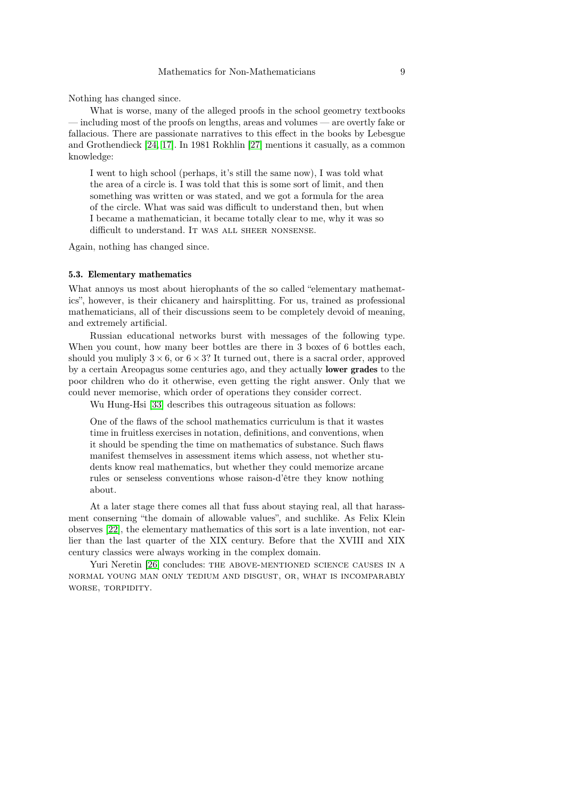Nothing has changed since.

What is worse, many of the alleged proofs in the school geometry textbooks — including most of the proofs on lengths, areas and volumes — are overtly fake or fallacious. There are passionate narratives to this effect in the books by Lebesgue and Grothendieck [\[24,](#page-27-5) [17\]](#page-27-7). In 1981 Rokhlin [\[27\]](#page-28-1) mentions it casually, as a common knowledge:

I went to high school (perhaps, it's still the same now), I was told what the area of a circle is. I was told that this is some sort of limit, and then something was written or was stated, and we got a formula for the area of the circle. What was said was difficult to understand then, but when I became a mathematician, it became totally clear to me, why it was so difficult to understand. IT WAS ALL SHEER NONSENSE.

Again, nothing has changed since.

#### 5.3. Elementary mathematics

What annoys us most about hierophants of the so called "elementary mathematics", however, is their chicanery and hairsplitting. For us, trained as professional mathematicians, all of their discussions seem to be completely devoid of meaning, and extremely artificial.

Russian educational networks burst with messages of the following type. When you count, how many beer bottles are there in 3 boxes of 6 bottles each. should you muliply  $3 \times 6$ , or  $6 \times 3$ ? It turned out, there is a sacral order, approved by a certain Areopagus some centuries ago, and they actually lower grades to the poor children who do it otherwise, even getting the right answer. Only that we could never memorise, which order of operations they consider correct.

Wu Hung-Hsi [\[33\]](#page-28-4) describes this outrageous situation as follows:

One of the flaws of the school mathematics curriculum is that it wastes time in fruitless exercises in notation, definitions, and conventions, when it should be spending the time on mathematics of substance. Such flaws manifest themselves in assessment items which assess, not whether students know real mathematics, but whether they could memorize arcane rules or senseless conventions whose raison-d'être they know nothing about.

At a later stage there comes all that fuss about staying real, all that harassment conserning "the domain of allowable values", and suchlike. As Felix Klein observes [\[22\]](#page-27-8), the elementary mathematics of this sort is a late invention, not earlier than the last quarter of the XIX century. Before that the XVIII and XIX century classics were always working in the complex domain.

Yuri Neretin [\[26\]](#page-28-3) concludes: THE ABOVE-MENTIONED SCIENCE CAUSES IN A normal young man only tedium and disgust, or, what is incomparably WORSE, TORPIDITY.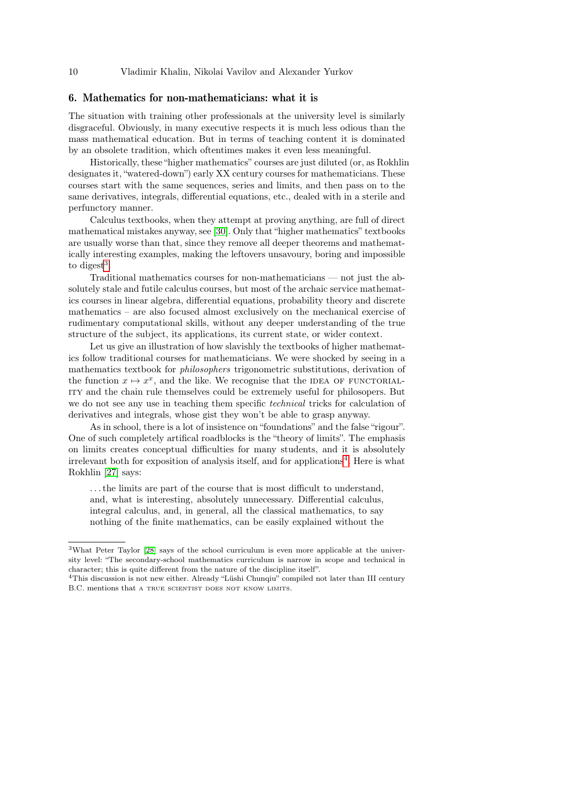# 6. Mathematics for non-mathematicians: what it is

The situation with training other professionals at the university level is similarly disgraceful. Obviously, in many executive respects it is much less odious than the mass mathematical education. But in terms of teaching content it is dominated by an obsolete tradition, which oftentimes makes it even less meaningful.

Historically, these "higher mathematics" courses are just diluted (or, as Rokhlin designates it, "watered-down") early XX century courses for mathematicians. These courses start with the same sequences, series and limits, and then pass on to the same derivatives, integrals, differential equations, etc., dealed with in a sterile and perfunctory manner.

Calculus textbooks, when they attempt at proving anything, are full of direct mathematical mistakes anyway, see [\[30\]](#page-28-5). Only that "higher mathematics" textbooks are usually worse than that, since they remove all deeper theorems and mathematically interesting examples, making the leftovers unsavoury, boring and impossible to digest<sup>[3](#page-9-0)</sup>.

Traditional mathematics courses for non-mathematicians — not just the absolutely stale and futile calculus courses, but most of the archaic service mathematics courses in linear algebra, differential equations, probability theory and discrete mathematics – are also focused almost exclusively on the mechanical exercise of rudimentary computational skills, without any deeper understanding of the true structure of the subject, its applications, its current state, or wider context.

Let us give an illustration of how slavishly the textbooks of higher mathematics follow traditional courses for mathematicians. We were shocked by seeing in a mathematics textbook for philosophers trigonometric substitutions, derivation of the function  $x \mapsto x^x$ , and the like. We recognise that the IDEA OF FUNCTORIALity and the chain rule themselves could be extremely useful for philosopers. But we do not see any use in teaching them specific *technical* tricks for calculation of derivatives and integrals, whose gist they won't be able to grasp anyway.

As in school, there is a lot of insistence on "foundations" and the false "rigour". One of such completely artifical roadblocks is the "theory of limits". The emphasis on limits creates conceptual difficulties for many students, and it is absolutely irrelevant both for exposition of analysis itself, and for applications<sup>[4](#page-9-1)</sup>. Here is what Rokhlin [\[27\]](#page-28-1) says:

. . . the limits are part of the course that is most difficult to understand, and, what is interesting, absolutely unnecessary. Differential calculus, integral calculus, and, in general, all the classical mathematics, to say nothing of the finite mathematics, can be easily explained without the

<span id="page-9-0"></span><sup>3</sup>What Peter Taylor [\[28\]](#page-28-6) says of the school curriculum is even more applicable at the university level: "The secondary-school mathematics curriculum is narrow in scope and technical in character; this is quite different from the nature of the discipline itself".

<span id="page-9-1"></span><sup>4</sup>This discussion is not new either. Already "Lüshi Chunqiu" compiled not later than III century B.C. mentions that a TRUE SCIENTIST DOES NOT KNOW LIMITS.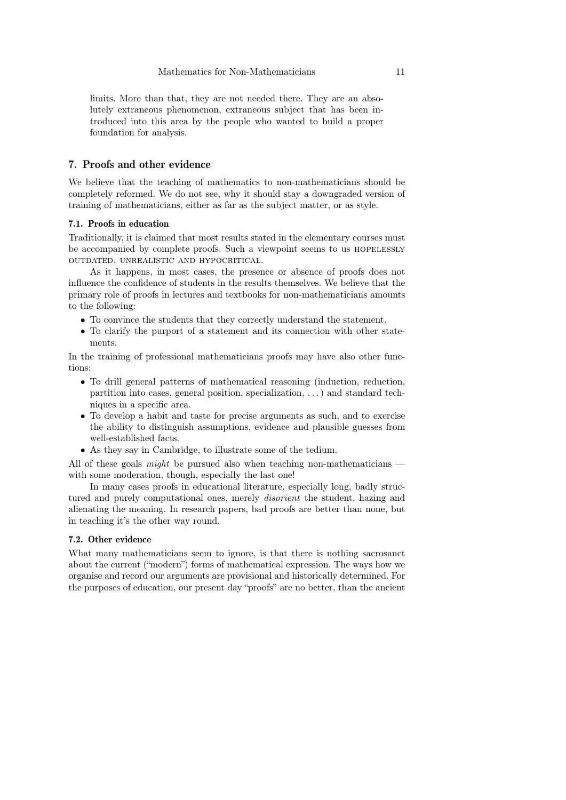limits. More than that, they are not needed there. They are an absolutely extraneous phenomenon, extraneous subject that has been introduced into this area by the people who wanted to build a proper foundation for analysis.

# 7. Proofs and other evidence

We believe that the teaching of mathematics to non-mathematicians should be completely reformed. We do not see, why it should stay a downgraded version of training of mathematicians, either as far as the subject matter, or as style.

### 7.1. Proofs in education

Traditionally, it is claimed that most results stated in the elementary courses must be accompanied by complete proofs. Such a viewpoint seems to us hopelessly outdated, unrealistic and hypocritical.

As it happens, in most cases, the presence or absence of proofs does not influence the confidence of students in the results themselves. We believe that the primary role of proofs in lectures and textbooks for non-mathematicians amounts to the following:

- To convince the students that they correctly understand the statement.
- To clarify the purport of a statement and its connection with other statements.

In the training of professional mathematicians proofs may have also other functions:

- To drill general patterns of mathematical reasoning (induction, reduction, partition into cases, general position, specialization, . . . ) and standard techniques in a specific area.
- To develop a habit and taste for precise arguments as such, and to exercise the ability to distinguish assumptions, evidence and plausible guesses from well-established facts.
- As they say in Cambridge, to illustrate some of the tedium.

All of these goals *might* be pursued also when teaching non-mathematicians  $$ with some moderation, though, especially the last one!

In many cases proofs in educational literature, especially long, badly structured and purely computational ones, merely *disorient* the student, hazing and alienating the meaning. In research papers, bad proofs are better than none, but in teaching it's the other way round.

# 7.2. Other evidence

What many mathematicians seem to ignore, is that there is nothing sacrosanct about the current ("modern") forms of mathematical expression. The ways how we organise and record our arguments are provisional and historically determined. For the purposes of education, our present day "proofs" are no better, than the ancient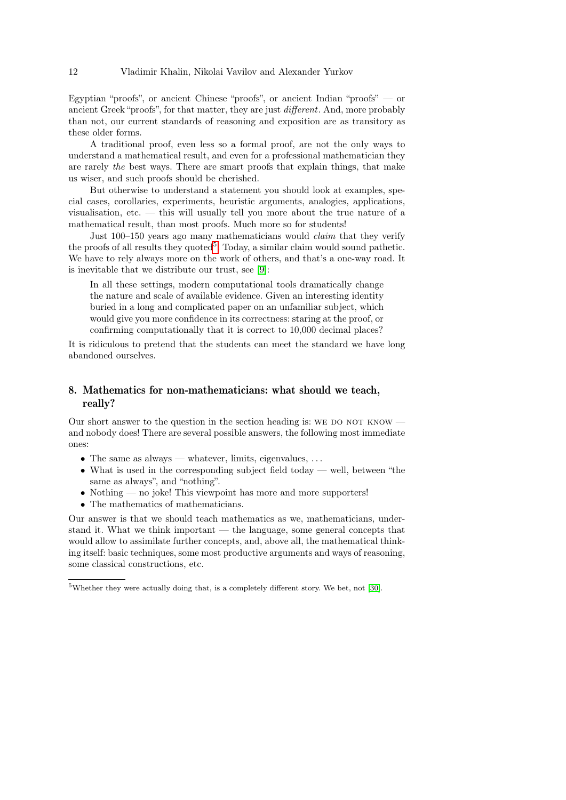Egyptian "proofs", or ancient Chinese "proofs", or ancient Indian "proofs" — or ancient Greek "proofs", for that matter, they are just different. And, more probably than not, our current standards of reasoning and exposition are as transitory as these older forms.

A traditional proof, even less so a formal proof, are not the only ways to understand a mathematical result, and even for a professional mathematician they are rarely the best ways. There are smart proofs that explain things, that make us wiser, and such proofs should be cherished.

But otherwise to understand a statement you should look at examples, special cases, corollaries, experiments, heuristic arguments, analogies, applications, visualisation, etc. — this will usually tell you more about the true nature of a mathematical result, than most proofs. Much more so for students!

Just 100–150 years ago many mathematicians would claim that they verify the proofs of all results they quoted<sup>[5](#page-11-0)</sup>. Today, a similar claim would sound pathetic. We have to rely always more on the work of others, and that's a one-way road. It is inevitable that we distribute our trust, see [\[9\]](#page-27-9):

In all these settings, modern computational tools dramatically change the nature and scale of available evidence. Given an interesting identity buried in a long and complicated paper on an unfamiliar subject, which would give you more confidence in its correctness: staring at the proof, or confirming computationally that it is correct to 10,000 decimal places?

It is ridiculous to pretend that the students can meet the standard we have long abandoned ourselves.

# 8. Mathematics for non-mathematicians: what should we teach, really?

Our short answer to the question in the section heading is: WE DO NOT KNOW and nobody does! There are several possible answers, the following most immediate ones:

- The same as always whatever, limits, eigenvalues,  $\dots$
- What is used in the corresponding subject field today well, between "the same as always", and "nothing".
- Nothing no joke! This viewpoint has more and more supporters!
- The mathematics of mathematicians.

Our answer is that we should teach mathematics as we, mathematicians, understand it. What we think important — the language, some general concepts that would allow to assimilate further concepts, and, above all, the mathematical thinking itself: basic techniques, some most productive arguments and ways of reasoning, some classical constructions, etc.

<span id="page-11-0"></span><sup>5</sup>Whether they were actually doing that, is a completely different story. We bet, not [\[30\]](#page-28-5).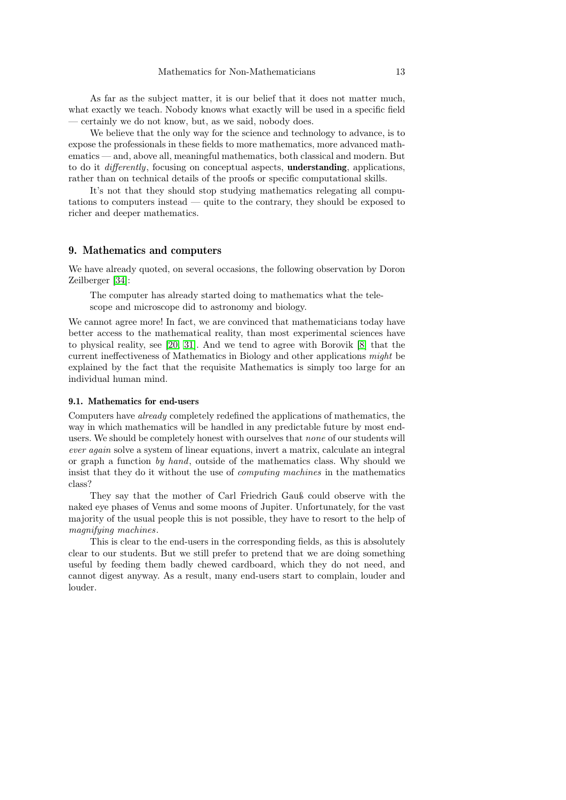As far as the subject matter, it is our belief that it does not matter much, what exactly we teach. Nobody knows what exactly will be used in a specific field — certainly we do not know, but, as we said, nobody does.

We believe that the only way for the science and technology to advance, is to expose the professionals in these fields to more mathematics, more advanced mathematics — and, above all, meaningful mathematics, both classical and modern. But to do it differently, focusing on conceptual aspects, understanding, applications, rather than on technical details of the proofs or specific computational skills.

It's not that they should stop studying mathematics relegating all computations to computers instead — quite to the contrary, they should be exposed to richer and deeper mathematics.

### 9. Mathematics and computers

We have already quoted, on several occasions, the following observation by Doron Zeilberger [\[34\]](#page-28-7):

The computer has already started doing to mathematics what the telescope and microscope did to astronomy and biology.

We cannot agree more! In fact, we are convinced that mathematicians today have better access to the mathematical reality, than most experimental sciences have to physical reality, see [\[20,](#page-27-10) [31\]](#page-28-8). And we tend to agree with Borovik [\[8\]](#page-26-3) that the current ineffectiveness of Mathematics in Biology and other applications might be explained by the fact that the requisite Mathematics is simply too large for an individual human mind.

### 9.1. Mathematics for end-users

Computers have already completely redefined the applications of mathematics, the way in which mathematics will be handled in any predictable future by most endusers. We should be completely honest with ourselves that none of our students will ever again solve a system of linear equations, invert a matrix, calculate an integral or graph a function by hand, outside of the mathematics class. Why should we insist that they do it without the use of computing machines in the mathematics class?

They say that the mother of Carl Friedrich Gauß could observe with the naked eye phases of Venus and some moons of Jupiter. Unfortunately, for the vast majority of the usual people this is not possible, they have to resort to the help of magnifying machines.

This is clear to the end-users in the corresponding fields, as this is absolutely clear to our students. But we still prefer to pretend that we are doing something useful by feeding them badly chewed cardboard, which they do not need, and cannot digest anyway. As a result, many end-users start to complain, louder and louder.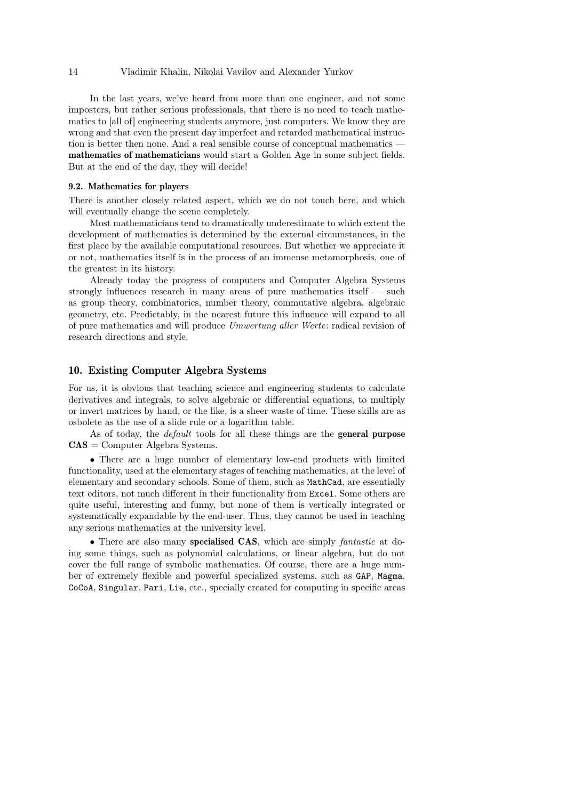In the last years, we've heard from more than one engineer, and not some imposters, but rather serious professionals, that there is no need to teach mathematics to [all of] engineering students anymore, just computers. We know they are wrong and that even the present day imperfect and retarded mathematical instruction is better then none. And a real sensible course of conceptual mathematics mathematics of mathematicians would start a Golden Age in some subject fields. But at the end of the day, they will decide!

# 9.2. Mathematics for players

There is another closely related aspect, which we do not touch here, and which will eventually change the scene completely.

Most mathematicians tend to dramatically underestimate to which extent the development of mathematics is determined by the external circumstances, in the first place by the available computational resources. But whether we appreciate it or not, mathematics itself is in the process of an immense metamorphosis, one of the greatest in its history.

Already today the progress of computers and Computer Algebra Systems strongly influences research in many areas of pure mathematics itself — such as group theory, combinatorics, number theory, commutative algebra, algebraic geometry, etc. Predictably, in the nearest future this influence will expand to all of pure mathematics and will produce Umwertung aller Werte: radical revision of research directions and style.

# 10. Existing Computer Algebra Systems

For us, it is obvious that teaching science and engineering students to calculate derivatives and integrals, to solve algebraic or differential equations, to multiply or invert matrices by hand, or the like, is a sheer waste of time. These skills are as osbolete as the use of a slide rule or a logarithm table.

As of today, the *default* tools for all these things are the **general purpose**  $\mathbf{CAS} = \mathbf{Computer}$  Algebra Systems.

• There are a huge number of elementary low-end products with limited functionality, used at the elementary stages of teaching mathematics, at the level of elementary and secondary schools. Some of them, such as MathCad, are essentially text editors, not much different in their functionality from Excel. Some others are quite useful, interesting and funny, but none of them is vertically integrated or systematically expandable by the end-user. Thus, they cannot be used in teaching any serious mathematics at the university level.

• There are also many specialised CAS, which are simply *fantastic* at doing some things, such as polynomial calculations, or linear algebra, but do not cover the full range of symbolic mathematics. Of course, there are a huge number of extremely flexible and powerful specialized systems, such as GAP, Magma, CoCoA, Singular, Pari, Lie, etc., specially created for computing in specific areas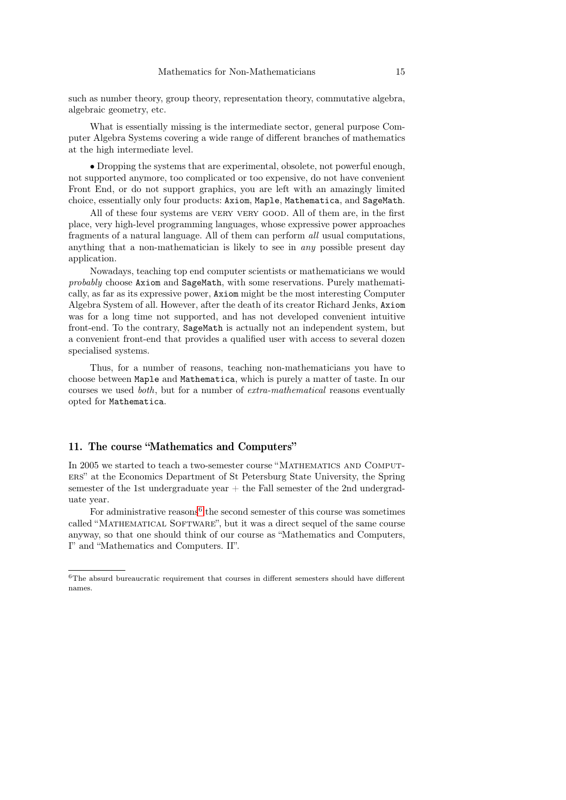such as number theory, group theory, representation theory, commutative algebra, algebraic geometry, etc.

What is essentially missing is the intermediate sector, general purpose Computer Algebra Systems covering a wide range of different branches of mathematics at the high intermediate level.

• Dropping the systems that are experimental, obsolete, not powerful enough, not supported anymore, too complicated or too expensive, do not have convenient Front End, or do not support graphics, you are left with an amazingly limited choice, essentially only four products: Axiom, Maple, Mathematica, and SageMath.

All of these four systems are very very good. All of them are, in the first place, very high-level programming languages, whose expressive power approaches fragments of a natural language. All of them can perform all usual computations, anything that a non-mathematician is likely to see in any possible present day application.

Nowadays, teaching top end computer scientists or mathematicians we would probably choose Axiom and SageMath, with some reservations. Purely mathematically, as far as its expressive power, Axiom might be the most interesting Computer Algebra System of all. However, after the death of its creator Richard Jenks, Axiom was for a long time not supported, and has not developed convenient intuitive front-end. To the contrary, SageMath is actually not an independent system, but a convenient front-end that provides a qualified user with access to several dozen specialised systems.

Thus, for a number of reasons, teaching non-mathematicians you have to choose between Maple and Mathematica, which is purely a matter of taste. In our courses we used both, but for a number of extra-mathematical reasons eventually opted for Mathematica.

# 11. The course "Mathematics and Computers"

In 2005 we started to teach a two-semester course "MATHEMATICS AND COMPUTers" at the Economics Department of St Petersburg State University, the Spring semester of the 1st undergraduate year  $+$  the Fall semester of the 2nd undergraduate year.

For administrative reasons<sup>[6](#page-14-0)</sup> the second semester of this course was sometimes called "MATHEMATICAL SOFTWARE", but it was a direct sequel of the same course anyway, so that one should think of our course as "Mathematics and Computers, I" and "Mathematics and Computers. II".

<span id="page-14-0"></span> $6$ The absurd bureaucratic requirement that courses in different semesters should have different names.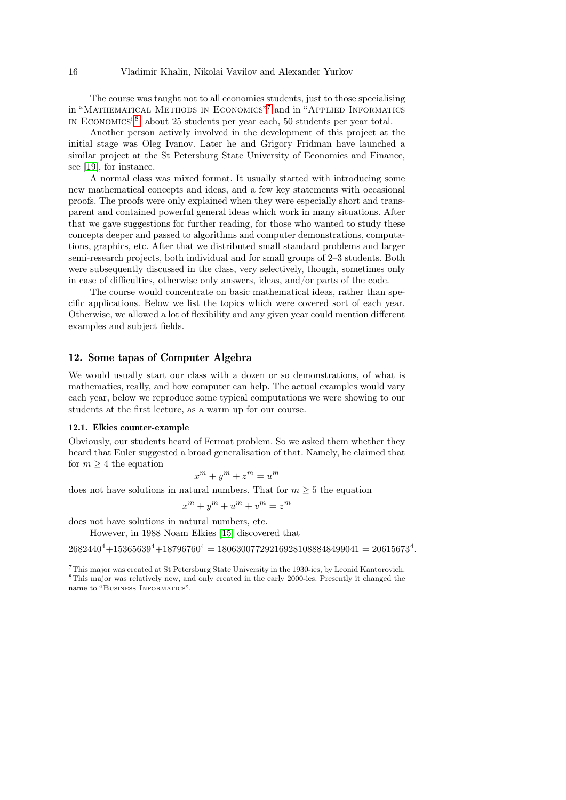The course was taught not to all economics students, just to those specialising in "Mathematical Methods in Economics" [7](#page-15-0) and in "Applied Informatics in Economics" [8](#page-15-1) , about 25 students per year each, 50 students per year total.

Another person actively involved in the development of this project at the initial stage was Oleg Ivanov. Later he and Grigory Fridman have launched a similar project at the St Petersburg State University of Economics and Finance, see [\[19\]](#page-27-11), for instance.

A normal class was mixed format. It usually started with introducing some new mathematical concepts and ideas, and a few key statements with occasional proofs. The proofs were only explained when they were especially short and transparent and contained powerful general ideas which work in many situations. After that we gave suggestions for further reading, for those who wanted to study these concepts deeper and passed to algorithms and computer demonstrations, computations, graphics, etc. After that we distributed small standard problems and larger semi-research projects, both individual and for small groups of 2–3 students. Both were subsequently discussed in the class, very selectively, though, sometimes only in case of difficulties, otherwise only answers, ideas, and/or parts of the code.

The course would concentrate on basic mathematical ideas, rather than specific applications. Below we list the topics which were covered sort of each year. Otherwise, we allowed a lot of flexibility and any given year could mention different examples and subject fields.

# 12. Some tapas of Computer Algebra

We would usually start our class with a dozen or so demonstrations, of what is mathematics, really, and how computer can help. The actual examples would vary each year, below we reproduce some typical computations we were showing to our students at the first lecture, as a warm up for our course.

#### 12.1. Elkies counter-example

Obviously, our students heard of Fermat problem. So we asked them whether they heard that Euler suggested a broad generalisation of that. Namely, he claimed that for  $m \geq 4$  the equation

$$
x^m + y^m + z^m = u^m
$$

does not have solutions in natural numbers. That for  $m \geq 5$  the equation

$$
x^m + y^m + u^m + v^m = z^m
$$

does not have solutions in natural numbers, etc.

However, in 1988 Noam Elkies [\[15\]](#page-27-12) discovered that

```
2682440^4 + 15365639^4 + 18796760^4 = 180630077292169281088848499041 = 20615673^4.
```
<span id="page-15-1"></span><span id="page-15-0"></span><sup>7</sup>This major was created at St Petersburg State University in the 1930-ies, by Leonid Kantorovich. <sup>8</sup>This major was relatively new, and only created in the early 2000-ies. Presently it changed the name to "BUSINESS INFORMATICS".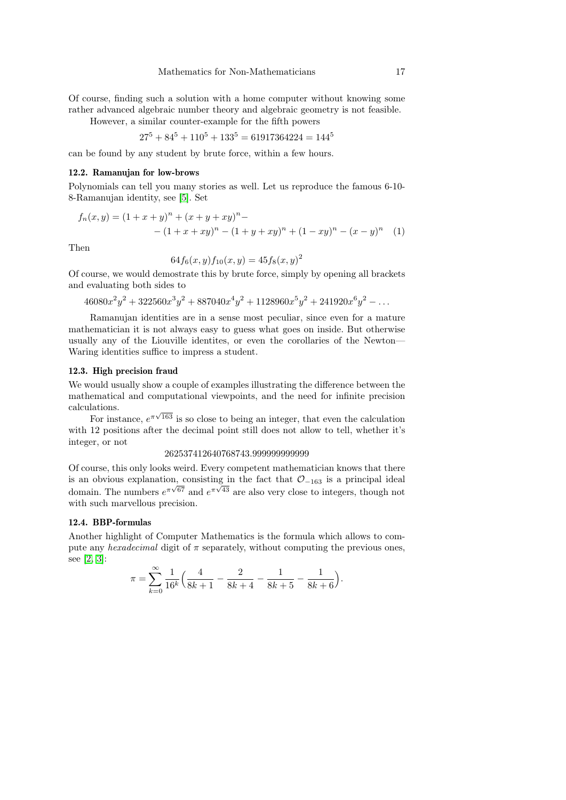Of course, finding such a solution with a home computer without knowing some rather advanced algebraic number theory and algebraic geometry is not feasible.

However, a similar counter-example for the fifth powers

$$
27^5 + 84^5 + 110^5 + 133^5 = 61917364224 = 144^5
$$

can be found by any student by brute force, within a few hours.

# 12.2. Ramanujan for low-brows

Polynomials can tell you many stories as well. Let us reproduce the famous 6-10- 8-Ramanujan identity, see [\[5\]](#page-26-4). Set

$$
f_n(x,y) = (1+x+y)^n + (x+y+xy)^n - (1+x+xy)^n - (1+y+xy)^n + (1-xy)^n - (x-y)^n \tag{1}
$$

Then

$$
64f_6(x,y)f_{10}(x,y) = 45f_8(x,y)^2
$$

Of course, we would demostrate this by brute force, simply by opening all brackets and evaluating both sides to

 $46080x^2y^2 + 322560x^3y^2 + 887040x^4y^2 + 1128960x^5y^2 + 241920x^6y^2 - \dots$ 

Ramanujan identities are in a sense most peculiar, since even for a mature mathematician it is not always easy to guess what goes on inside. But otherwise usually any of the Liouville identites, or even the corollaries of the Newton— Waring identities suffice to impress a student.

### 12.3. High precision fraud

We would usually show a couple of examples illustrating the difference between the mathematical and computational viewpoints, and the need for infinite precision calculations.

For instance,  $e^{\pi\sqrt{163}}$  is so close to being an integer, that even the calculation with 12 positions after the decimal point still does not allow to tell, whether it's integer, or not

#### 262537412640768743.999999999999

Of course, this only looks weird. Every competent mathematician knows that there is an obvious explanation, consisting in the fact that  $\mathcal{O}_{-163}$  is a principal ideal  $\frac{d}{dt}$  and  $\frac{d}{dt}$  are also very close to integers, though not domain. The numbers  $e^{\pi\sqrt{67}}$  and  $e^{\pi\sqrt{43}}$  are also very close to integers, though not with such marvellous precision.

### 12.4. BBP-formulas

Another highlight of Computer Mathematics is the formula which allows to compute any *hexadecimal* digit of  $\pi$  separately, without computing the previous ones, see [\[2,](#page-26-5) [3\]](#page-26-6):

$$
\pi = \sum_{k=0}^{\infty} \frac{1}{16^k} \left( \frac{4}{8k+1} - \frac{2}{8k+4} - \frac{1}{8k+5} - \frac{1}{8k+6} \right).
$$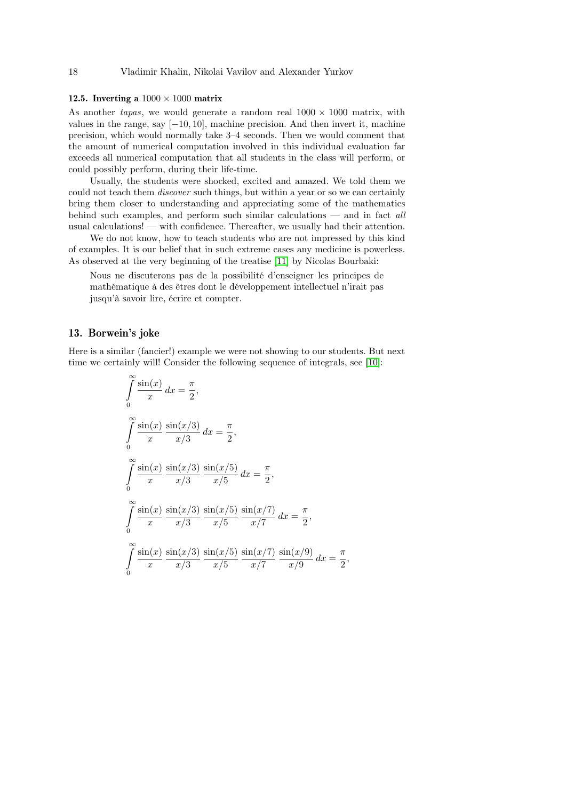# 12.5. Inverting a  $1000 \times 1000$  matrix

As another *tapas*, we would generate a random real  $1000 \times 1000$  matrix, with values in the range, say [−10, 10], machine precision. And then invert it, machine precision, which would normally take 3–4 seconds. Then we would comment that the amount of numerical computation involved in this individual evaluation far exceeds all numerical computation that all students in the class will perform, or could possibly perform, during their life-time.

Usually, the students were shocked, excited and amazed. We told them we could not teach them discover such things, but within a year or so we can certainly bring them closer to understanding and appreciating some of the mathematics behind such examples, and perform such similar calculations — and in fact all usual calculations! — with confidence. Thereafter, we usually had their attention.

We do not know, how to teach students who are not impressed by this kind of examples. It is our belief that in such extreme cases any medicine is powerless. As observed at the very beginning of the treatise [\[11\]](#page-27-13) by Nicolas Bourbaki:

Nous ne discuterons pas de la possibilité d'enseigner les principes de mathématique à des êtres dont le développement intellectuel n'irait pas jusqu'à savoir lire, écrire et compter.

### 13. Borwein's joke

Here is a similar (fancier!) example we were not showing to our students. But next time we certainly will! Consider the following sequence of integrals, see [\[10\]](#page-27-14):

$$
\int_{0}^{\infty} \frac{\sin(x)}{x} dx = \frac{\pi}{2},
$$
  

$$
\int_{0}^{\infty} \frac{\sin(x)}{x} \frac{\sin(x/3)}{x/3} dx = \frac{\pi}{2},
$$
  

$$
\int_{0}^{\infty} \frac{\sin(x)}{x} \frac{\sin(x/3)}{x/3} \frac{\sin(x/5)}{x/5} dx = \frac{\pi}{2},
$$
  

$$
\int_{0}^{\infty} \frac{\sin(x)}{x} \frac{\sin(x/3)}{x/3} \frac{\sin(x/5)}{x/5} \frac{\sin(x/7)}{x/7} dx = \frac{\pi}{2},
$$
  

$$
\int_{0}^{\infty} \frac{\sin(x)}{x} \frac{\sin(x/3)}{x/3} \frac{\sin(x/5)}{x/5} \frac{\sin(x/7)}{x/7} \frac{\sin(x/9)}{x/9} dx = \frac{\pi}{2},
$$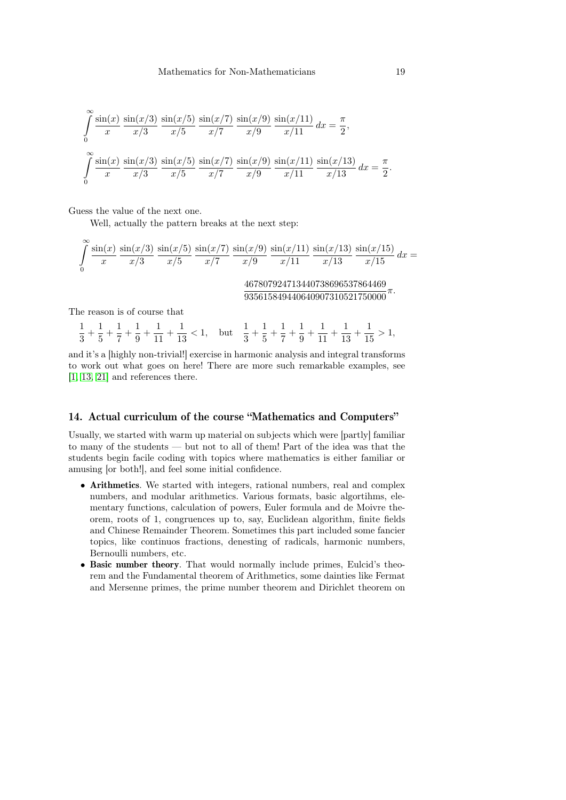$$
\int_{0}^{\infty} \frac{\sin(x)}{x} \frac{\sin(x/3)}{x/3} \frac{\sin(x/5)}{x/5} \frac{\sin(x/7)}{x/7} \frac{\sin(x/9)}{x/9} \frac{\sin(x/11)}{x/11} dx = \frac{\pi}{2},
$$
  

$$
\int_{0}^{\infty} \frac{\sin(x)}{x} \frac{\sin(x/3)}{x/3} \frac{\sin(x/5)}{x/5} \frac{\sin(x/7)}{x/7} \frac{\sin(x/9)}{x/9} \frac{\sin(x/11)}{x/11} \frac{\sin(x/13)}{x/13} dx = \frac{\pi}{2}.
$$

Guess the value of the next one.

Well, actually the pattern breaks at the next step:

$$
\int_{0}^{\infty} \frac{\sin(x)}{x} \frac{\sin(x/3)}{x/3} \frac{\sin(x/5)}{x/5} \frac{\sin(x/7)}{x/7} \frac{\sin(x/9)}{x/9} \frac{\sin(x/11)}{x/11} \frac{\sin(x/13)}{x/13} \frac{\sin(x/15)}{x/15} dx =
$$
  

$$
\frac{467807924713440738696537864469}{935615849440640907310521750000} \pi.
$$

The reason is of course that

1  $\frac{1}{3} + \frac{1}{5}$  $\frac{1}{5} + \frac{1}{7}$  $\frac{1}{7} + \frac{1}{9}$  $\frac{1}{9} + \frac{1}{11}$  $\frac{1}{11} + \frac{1}{13}$  $\frac{1}{13}$  < 1, but  $\frac{1}{3}$  +  $\frac{1}{5}$  $\frac{1}{5} + \frac{1}{7}$  $\frac{1}{7} + \frac{1}{9}$  $\frac{1}{9} + \frac{1}{11}$  $\frac{1}{11} + \frac{1}{13}$  $\frac{1}{13} + \frac{1}{15}$  $\frac{1}{15} > 1,$ 

and it's a [highly non-trivial!] exercise in harmonic analysis and integral transforms to work out what goes on here! There are more such remarkable examples, see [\[1,](#page-26-7) [13,](#page-27-15) [21\]](#page-27-16) and references there.

# 14. Actual curriculum of the course "Mathematics and Computers"

Usually, we started with warm up material on subjects which were [partly] familiar to many of the students — but not to all of them! Part of the idea was that the students begin facile coding with topics where mathematics is either familiar or amusing [or both!], and feel some initial confidence.

- Arithmetics. We started with integers, rational numbers, real and complex numbers, and modular arithmetics. Various formats, basic algortihms, elementary functions, calculation of powers, Euler formula and de Moivre theorem, roots of 1, congruences up to, say, Euclidean algorithm, finite fields and Chinese Remainder Theorem. Sometimes this part included some fancier topics, like continuos fractions, denesting of radicals, harmonic numbers, Bernoulli numbers, etc.
- Basic number theory. That would normally include primes, Eulcid's theorem and the Fundamental theorem of Arithmetics, some dainties like Fermat and Mersenne primes, the prime number theorem and Dirichlet theorem on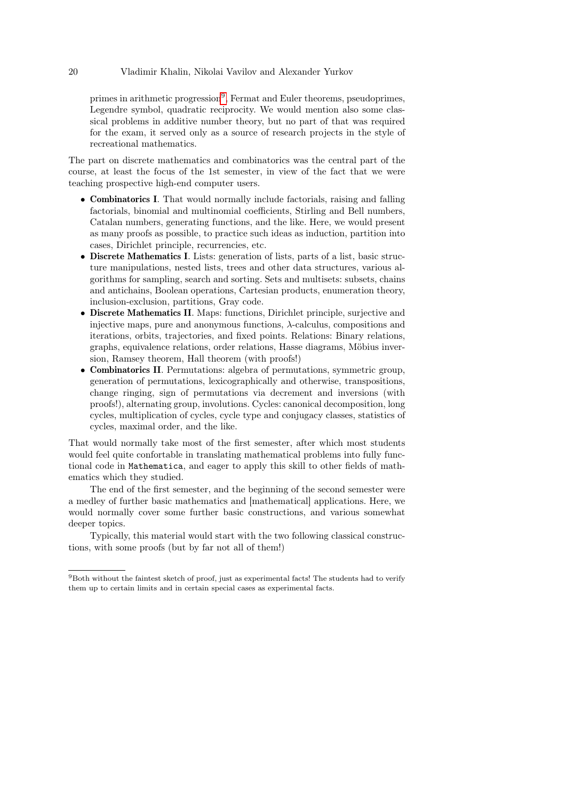primes in arithmetic progression<sup>[9](#page-19-0)</sup>, Fermat and Euler theorems, pseudoprimes, Legendre symbol, quadratic reciprocity. We would mention also some classical problems in additive number theory, but no part of that was required for the exam, it served only as a source of research projects in the style of recreational mathematics.

The part on discrete mathematics and combinatorics was the central part of the course, at least the focus of the 1st semester, in view of the fact that we were teaching prospective high-end computer users.

- Combinatorics I. That would normally include factorials, raising and falling factorials, binomial and multinomial coefficients, Stirling and Bell numbers, Catalan numbers, generating functions, and the like. Here, we would present as many proofs as possible, to practice such ideas as induction, partition into cases, Dirichlet principle, recurrencies, etc.
- Discrete Mathematics I. Lists: generation of lists, parts of a list, basic structure manipulations, nested lists, trees and other data structures, various algorithms for sampling, search and sorting. Sets and multisets: subsets, chains and antichains, Boolean operations, Cartesian products, enumeration theory, inclusion-exclusion, partitions, Gray code.
- Discrete Mathematics II. Maps: functions, Dirichlet principle, surjective and injective maps, pure and anonymous functions,  $\lambda$ -calculus, compositions and iterations, orbits, trajectories, and fixed points. Relations: Binary relations, graphs, equivalence relations, order relations, Hasse diagrams, Möbius inversion, Ramsey theorem, Hall theorem (with proofs!)
- Combinatorics II. Permutations: algebra of permutations, symmetric group, generation of permutations, lexicographically and otherwise, transpositions, change ringing, sign of permutations via decrement and inversions (with proofs!), alternating group, involutions. Cycles: canonical decomposition, long cycles, multiplication of cycles, cycle type and conjugacy classes, statistics of cycles, maximal order, and the like.

That would normally take most of the first semester, after which most students would feel quite confortable in translating mathematical problems into fully functional code in Mathematica, and eager to apply this skill to other fields of mathematics which they studied.

The end of the first semester, and the beginning of the second semester were a medley of further basic mathematics and [mathematical] applications. Here, we would normally cover some further basic constructions, and various somewhat deeper topics.

Typically, this material would start with the two following classical constructions, with some proofs (but by far not all of them!)

<span id="page-19-0"></span><sup>9</sup>Both without the faintest sketch of proof, just as experimental facts! The students had to verify them up to certain limits and in certain special cases as experimental facts.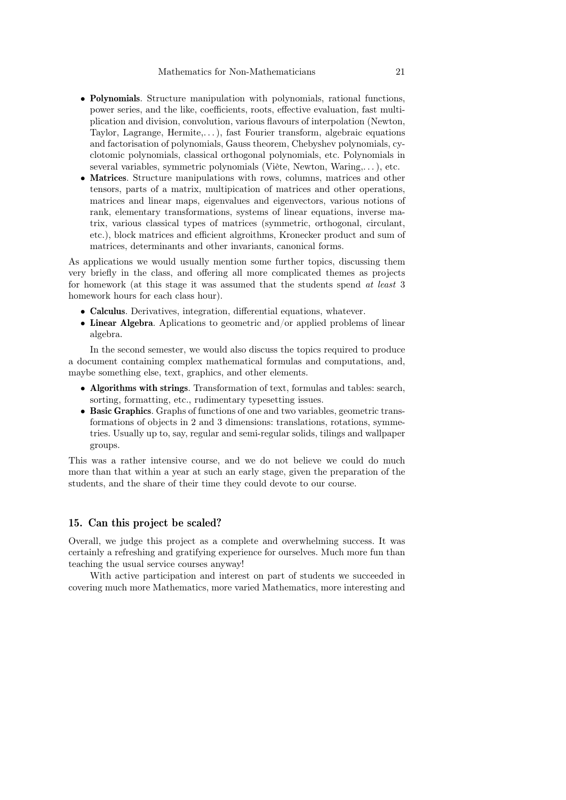- Polynomials. Structure manipulation with polynomials, rational functions, power series, and the like, coefficients, roots, effective evaluation, fast multiplication and division, convolution, various flavours of interpolation (Newton, Taylor, Lagrange, Hermite,. . . ), fast Fourier transform, algebraic equations and factorisation of polynomials, Gauss theorem, Chebyshev polynomials, cyclotomic polynomials, classical orthogonal polynomials, etc. Polynomials in several variables, symmetric polynomials (Viète, Newton, Waring,. . . ), etc.
- Matrices. Structure manipulations with rows, columns, matrices and other tensors, parts of a matrix, multipication of matrices and other operations, matrices and linear maps, eigenvalues and eigenvectors, various notions of rank, elementary transformations, systems of linear equations, inverse matrix, various classical types of matrices (symmetric, orthogonal, circulant, etc.), block matrices and efficient algroithms, Kronecker product and sum of matrices, determinants and other invariants, canonical forms.

As applications we would usually mention some further topics, discussing them very briefly in the class, and offering all more complicated themes as projects for homework (at this stage it was assumed that the students spend at least 3 homework hours for each class hour).

- Calculus. Derivatives, integration, differential equations, whatever.
- Linear Algebra. Aplications to geometric and/or applied problems of linear algebra.

In the second semester, we would also discuss the topics required to produce a document containing complex mathematical formulas and computations, and, maybe something else, text, graphics, and other elements.

- Algorithms with strings. Transformation of text, formulas and tables: search, sorting, formatting, etc., rudimentary typesetting issues.
- Basic Graphics. Graphs of functions of one and two variables, geometric transformations of objects in 2 and 3 dimensions: translations, rotations, symmetries. Usually up to, say, regular and semi-regular solids, tilings and wallpaper groups.

This was a rather intensive course, and we do not believe we could do much more than that within a year at such an early stage, given the preparation of the students, and the share of their time they could devote to our course.

# 15. Can this project be scaled?

Overall, we judge this project as a complete and overwhelming success. It was certainly a refreshing and gratifying experience for ourselves. Much more fun than teaching the usual service courses anyway!

With active participation and interest on part of students we succeeded in covering much more Mathematics, more varied Mathematics, more interesting and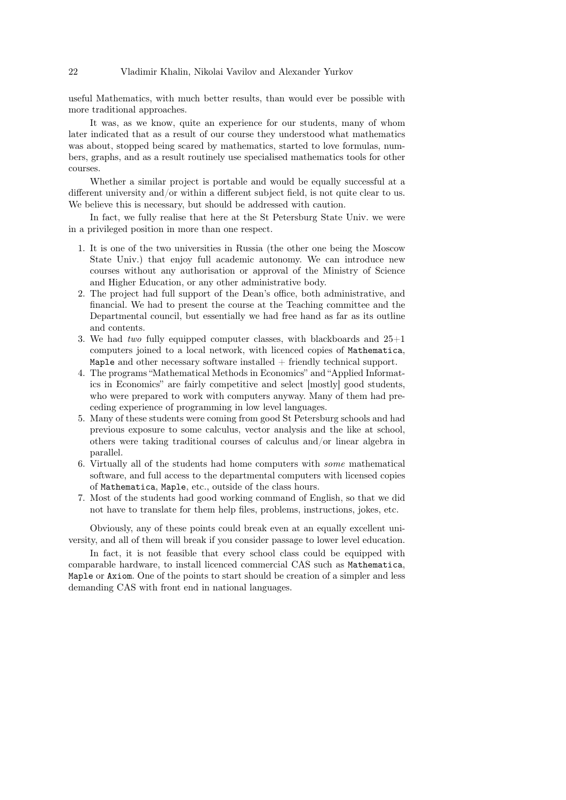useful Mathematics, with much better results, than would ever be possible with more traditional approaches.

It was, as we know, quite an experience for our students, many of whom later indicated that as a result of our course they understood what mathematics was about, stopped being scared by mathematics, started to love formulas, numbers, graphs, and as a result routinely use specialised mathematics tools for other courses.

Whether a similar project is portable and would be equally successful at a different university and/or within a different subject field, is not quite clear to us. We believe this is necessary, but should be addressed with caution.

In fact, we fully realise that here at the St Petersburg State Univ. we were in a privileged position in more than one respect.

- 1. It is one of the two universities in Russia (the other one being the Moscow State Univ.) that enjoy full academic autonomy. We can introduce new courses without any authorisation or approval of the Ministry of Science and Higher Education, or any other administrative body.
- 2. The project had full support of the Dean's office, both administrative, and financial. We had to present the course at the Teaching committee and the Departmental council, but essentially we had free hand as far as its outline and contents.
- 3. We had two fully equipped computer classes, with blackboards and  $25+1$ computers joined to a local network, with licenced copies of Mathematica, Maple and other necessary software installed  $+$  friendly technical support.
- 4. The programs "Mathematical Methods in Economics" and "Applied Informatics in Economics" are fairly competitive and select [mostly] good students, who were prepared to work with computers anyway. Many of them had preceding experience of programming in low level languages.
- 5. Many of these students were coming from good St Petersburg schools and had previous exposure to some calculus, vector analysis and the like at school, others were taking traditional courses of calculus and/or linear algebra in parallel.
- 6. Virtually all of the students had home computers with some mathematical software, and full access to the departmental computers with licensed copies of Mathematica, Maple, etc., outside of the class hours.
- 7. Most of the students had good working command of English, so that we did not have to translate for them help files, problems, instructions, jokes, etc.

Obviously, any of these points could break even at an equally excellent university, and all of them will break if you consider passage to lower level education.

In fact, it is not feasible that every school class could be equipped with comparable hardware, to install licenced commercial CAS such as Mathematica, Maple or Axiom. One of the points to start should be creation of a simpler and less demanding CAS with front end in national languages.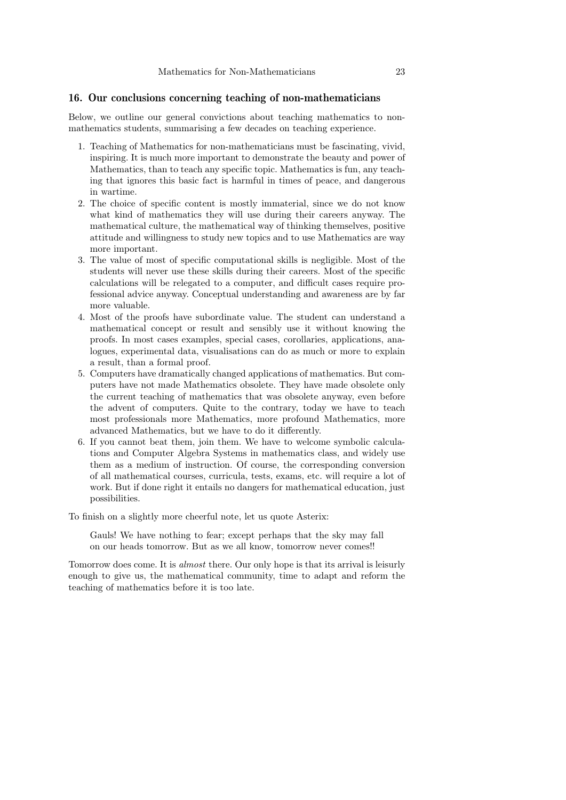# 16. Our conclusions concerning teaching of non-mathematicians

Below, we outline our general convictions about teaching mathematics to nonmathematics students, summarising a few decades on teaching experience.

- 1. Teaching of Mathematics for non-mathematicians must be fascinating, vivid, inspiring. It is much more important to demonstrate the beauty and power of Mathematics, than to teach any specific topic. Mathematics is fun, any teaching that ignores this basic fact is harmful in times of peace, and dangerous in wartime.
- 2. The choice of specific content is mostly immaterial, since we do not know what kind of mathematics they will use during their careers anyway. The mathematical culture, the mathematical way of thinking themselves, positive attitude and willingness to study new topics and to use Mathematics are way more important.
- 3. The value of most of specific computational skills is negligible. Most of the students will never use these skills during their careers. Most of the specific calculations will be relegated to a computer, and difficult cases require professional advice anyway. Conceptual understanding and awareness are by far more valuable.
- 4. Most of the proofs have subordinate value. The student can understand a mathematical concept or result and sensibly use it without knowing the proofs. In most cases examples, special cases, corollaries, applications, analogues, experimental data, visualisations can do as much or more to explain a result, than a formal proof.
- 5. Computers have dramatically changed applications of mathematics. But computers have not made Mathematics obsolete. They have made obsolete only the current teaching of mathematics that was obsolete anyway, even before the advent of computers. Quite to the contrary, today we have to teach most professionals more Mathematics, more profound Mathematics, more advanced Mathematics, but we have to do it differently.
- 6. If you cannot beat them, join them. We have to welcome symbolic calculations and Computer Algebra Systems in mathematics class, and widely use them as a medium of instruction. Of course, the corresponding conversion of all mathematical courses, curricula, tests, exams, etc. will require a lot of work. But if done right it entails no dangers for mathematical education, just possibilities.

To finish on a slightly more cheerful note, let us quote Asterix:

Gauls! We have nothing to fear; except perhaps that the sky may fall on our heads tomorrow. But as we all know, tomorrow never comes!!

Tomorrow does come. It is almost there. Our only hope is that its arrival is leisurly enough to give us, the mathematical community, time to adapt and reform the teaching of mathematics before it is too late.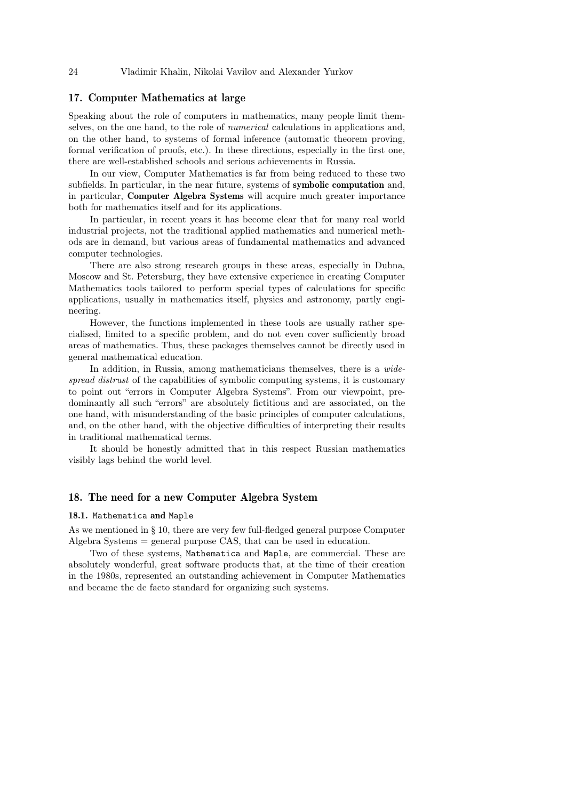# 17. Computer Mathematics at large

Speaking about the role of computers in mathematics, many people limit themselves, on the one hand, to the role of numerical calculations in applications and, on the other hand, to systems of formal inference (automatic theorem proving, formal verification of proofs, etc.). In these directions, especially in the first one, there are well-established schools and serious achievements in Russia.

In our view, Computer Mathematics is far from being reduced to these two subfields. In particular, in the near future, systems of symbolic computation and, in particular, Computer Algebra Systems will acquire much greater importance both for mathematics itself and for its applications.

In particular, in recent years it has become clear that for many real world industrial projects, not the traditional applied mathematics and numerical methods are in demand, but various areas of fundamental mathematics and advanced computer technologies.

There are also strong research groups in these areas, especially in Dubna, Moscow and St. Petersburg, they have extensive experience in creating Computer Mathematics tools tailored to perform special types of calculations for specific applications, usually in mathematics itself, physics and astronomy, partly engineering.

However, the functions implemented in these tools are usually rather specialised, limited to a specific problem, and do not even cover sufficiently broad areas of mathematics. Thus, these packages themselves cannot be directly used in general mathematical education.

In addition, in Russia, among mathematicians themselves, there is a widespread distrust of the capabilities of symbolic computing systems, it is customary to point out "errors in Computer Algebra Systems". From our viewpoint, predominantly all such "errors" are absolutely fictitious and are associated, on the one hand, with misunderstanding of the basic principles of computer calculations, and, on the other hand, with the objective difficulties of interpreting their results in traditional mathematical terms.

It should be honestly admitted that in this respect Russian mathematics visibly lags behind the world level.

# 18. The need for a new Computer Algebra System

# 18.1. Mathematica and Maple

As we mentioned in § 10, there are very few full-fledged general purpose Computer Algebra Systems = general purpose CAS, that can be used in education.

Two of these systems, Mathematica and Maple, are commercial. These are absolutely wonderful, great software products that, at the time of their creation in the 1980s, represented an outstanding achievement in Computer Mathematics and became the de facto standard for organizing such systems.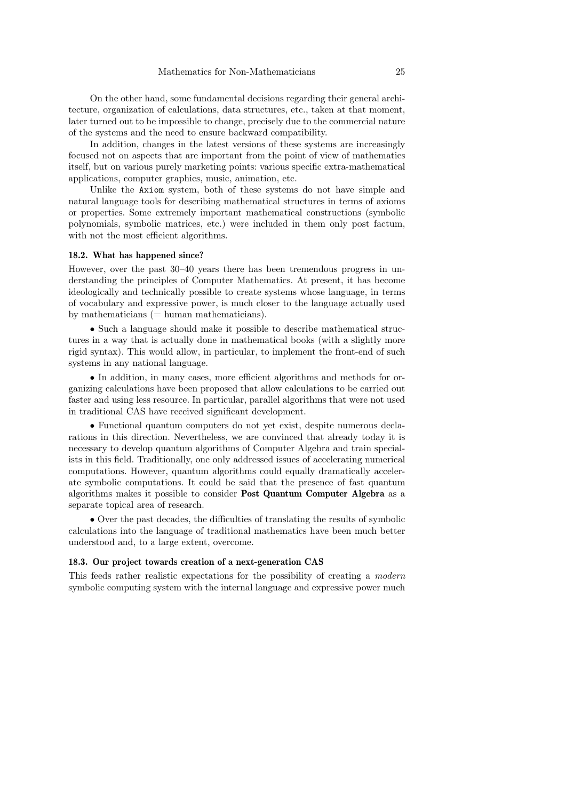On the other hand, some fundamental decisions regarding their general architecture, organization of calculations, data structures, etc., taken at that moment, later turned out to be impossible to change, precisely due to the commercial nature of the systems and the need to ensure backward compatibility.

In addition, changes in the latest versions of these systems are increasingly focused not on aspects that are important from the point of view of mathematics itself, but on various purely marketing points: various specific extra-mathematical applications, computer graphics, music, animation, etc.

Unlike the Axiom system, both of these systems do not have simple and natural language tools for describing mathematical structures in terms of axioms or properties. Some extremely important mathematical constructions (symbolic polynomials, symbolic matrices, etc.) were included in them only post factum, with not the most efficient algorithms.

#### 18.2. What has happened since?

However, over the past 30–40 years there has been tremendous progress in understanding the principles of Computer Mathematics. At present, it has become ideologically and technically possible to create systems whose language, in terms of vocabulary and expressive power, is much closer to the language actually used by mathematicians  $(=$  human mathematicians).

• Such a language should make it possible to describe mathematical structures in a way that is actually done in mathematical books (with a slightly more rigid syntax). This would allow, in particular, to implement the front-end of such systems in any national language.

• In addition, in many cases, more efficient algorithms and methods for organizing calculations have been proposed that allow calculations to be carried out faster and using less resource. In particular, parallel algorithms that were not used in traditional CAS have received significant development.

• Functional quantum computers do not yet exist, despite numerous declarations in this direction. Nevertheless, we are convinced that already today it is necessary to develop quantum algorithms of Computer Algebra and train specialists in this field. Traditionally, one only addressed issues of accelerating numerical computations. However, quantum algorithms could equally dramatically accelerate symbolic computations. It could be said that the presence of fast quantum algorithms makes it possible to consider Post Quantum Computer Algebra as a separate topical area of research.

• Over the past decades, the difficulties of translating the results of symbolic calculations into the language of traditional mathematics have been much better understood and, to a large extent, overcome.

#### 18.3. Our project towards creation of a next-generation CAS

This feeds rather realistic expectations for the possibility of creating a modern symbolic computing system with the internal language and expressive power much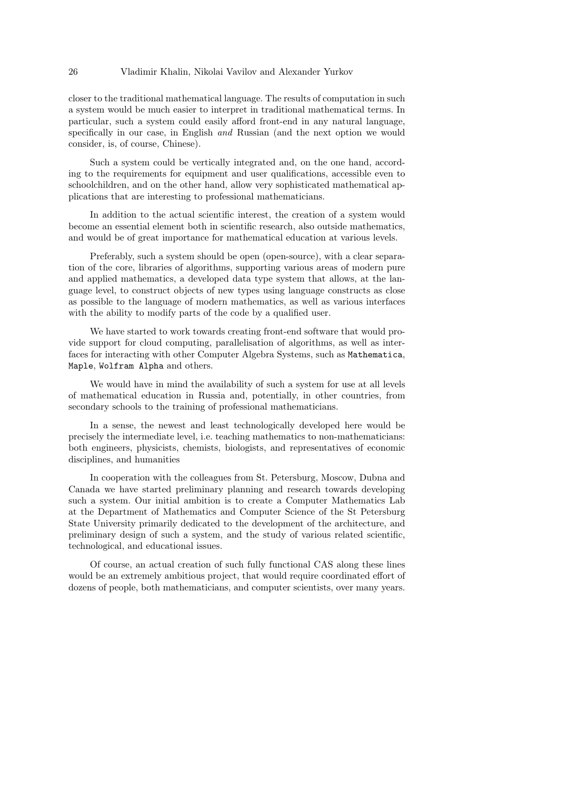closer to the traditional mathematical language. The results of computation in such a system would be much easier to interpret in traditional mathematical terms. In particular, such a system could easily afford front-end in any natural language, specifically in our case, in English and Russian (and the next option we would consider, is, of course, Chinese).

Such a system could be vertically integrated and, on the one hand, according to the requirements for equipment and user qualifications, accessible even to schoolchildren, and on the other hand, allow very sophisticated mathematical applications that are interesting to professional mathematicians.

In addition to the actual scientific interest, the creation of a system would become an essential element both in scientific research, also outside mathematics, and would be of great importance for mathematical education at various levels.

Preferably, such a system should be open (open-source), with a clear separation of the core, libraries of algorithms, supporting various areas of modern pure and applied mathematics, a developed data type system that allows, at the language level, to construct objects of new types using language constructs as close as possible to the language of modern mathematics, as well as various interfaces with the ability to modify parts of the code by a qualified user.

We have started to work towards creating front-end software that would provide support for cloud computing, parallelisation of algorithms, as well as interfaces for interacting with other Computer Algebra Systems, such as Mathematica, Maple, Wolfram Alpha and others.

We would have in mind the availability of such a system for use at all levels of mathematical education in Russia and, potentially, in other countries, from secondary schools to the training of professional mathematicians.

In a sense, the newest and least technologically developed here would be precisely the intermediate level, i.e. teaching mathematics to non-mathematicians: both engineers, physicists, chemists, biologists, and representatives of economic disciplines, and humanities

In cooperation with the colleagues from St. Petersburg, Moscow, Dubna and Canada we have started preliminary planning and research towards developing such a system. Our initial ambition is to create a Computer Mathematics Lab at the Department of Mathematics and Computer Science of the St Petersburg State University primarily dedicated to the development of the architecture, and preliminary design of such a system, and the study of various related scientific, technological, and educational issues.

Of course, an actual creation of such fully functional CAS along these lines would be an extremely ambitious project, that would require coordinated effort of dozens of people, both mathematicians, and computer scientists, over many years.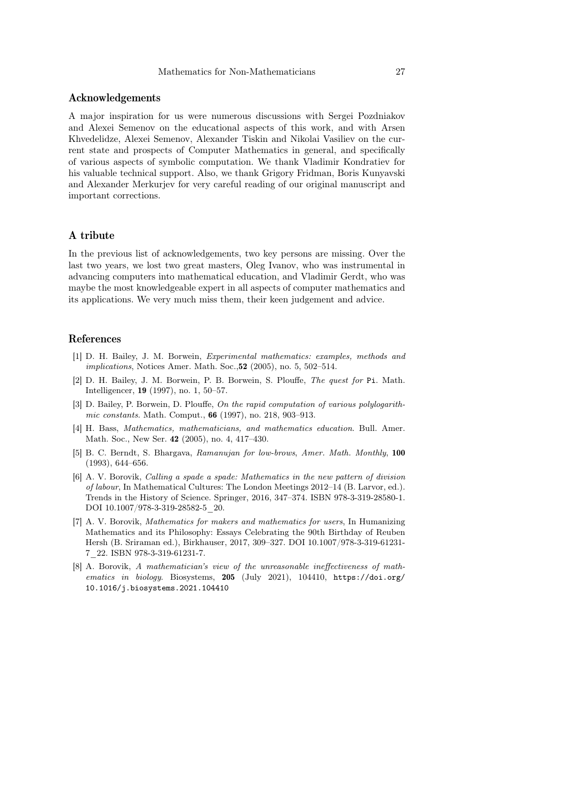# Acknowledgements

A major inspiration for us were numerous discussions with Sergei Pozdniakov and Alexei Semenov on the educational aspects of this work, and with Arsen Khvedelidze, Alexei Semenov, Alexander Tiskin and Nikolai Vasiliev on the current state and prospects of Computer Mathematics in general, and specifically of various aspects of symbolic computation. We thank Vladimir Kondratiev for his valuable technical support. Also, we thank Grigory Fridman, Boris Kunyavski and Alexander Merkurjev for very careful reading of our original manuscript and important corrections.

# A tribute

In the previous list of acknowledgements, two key persons are missing. Over the last two years, we lost two great masters, Oleg Ivanov, who was instrumental in advancing computers into mathematical education, and Vladimir Gerdt, who was maybe the most knowledgeable expert in all aspects of computer mathematics and its applications. We very much miss them, their keen judgement and advice.

# References

- <span id="page-26-7"></span>[1] D. H. Bailey, J. M. Borwein, Experimental mathematics: examples, methods and implications, Notices Amer. Math. Soc.,52 (2005), no. 5, 502–514.
- <span id="page-26-5"></span>[2] D. H. Bailey, J. M. Borwein, P. B. Borwein, S. Plouffe, The quest for Pi. Math. Intelligencer, 19 (1997), no. 1, 50–57.
- <span id="page-26-6"></span>[3] D. Bailey, P. Borwein, D. Plouffe, On the rapid computation of various polylogarithmic constants. Math. Comput., 66 (1997), no. 218, 903–913.
- <span id="page-26-0"></span>[4] H. Bass, Mathematics, mathematicians, and mathematics education. Bull. Amer. Math. Soc., New Ser. 42 (2005), no. 4, 417–430.
- <span id="page-26-4"></span>[5] B. C. Berndt, S. Bhargava, Ramanujan for low-brows, Amer. Math. Monthly, 100 (1993), 644–656.
- <span id="page-26-1"></span>[6] A. V. Borovik, Calling a spade a spade: Mathematics in the new pattern of division of labour, In Mathematical Cultures: The London Meetings 2012–14 (B. Larvor, ed.). Trends in the History of Science. Springer, 2016, 347–374. ISBN 978-3-319-28580-1. DOI 10.1007/978-3-319-28582-5\_20.
- <span id="page-26-2"></span>[7] A. V. Borovik, Mathematics for makers and mathematics for users, In Humanizing Mathematics and its Philosophy: Essays Celebrating the 90th Birthday of Reuben Hersh (B. Sriraman ed.), Birkhauser, 2017, 309–327. DOI 10.1007/978-3-319-61231- 7\_22. ISBN 978-3-319-61231-7.
- <span id="page-26-3"></span>[8] A. Borovik, A mathematician's view of the unreasonable ineffectiveness of mathematics in biology. Biosystems, 205 (July 2021), 104410, https://doi.org/ 10.1016/j.biosystems.2021.104410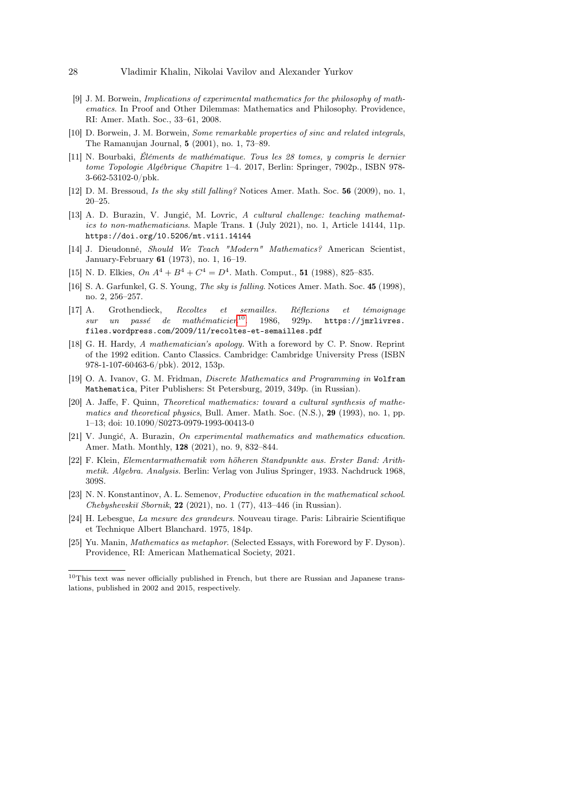- <span id="page-27-9"></span>[9] J. M. Borwein, Implications of experimental mathematics for the philosophy of mathematics. In Proof and Other Dilemmas: Mathematics and Philosophy. Providence, RI: Amer. Math. Soc., 33–61, 2008.
- <span id="page-27-14"></span>[10] D. Borwein, J. M. Borwein, Some remarkable properties of sinc and related integrals, The Ramanujan Journal, 5 (2001), no. 1, 73–89.
- <span id="page-27-13"></span>[11] N. Bourbaki, Éléments de mathématique. Tous les 28 tomes, y compris le dernier tome Topologie Algébrique Chapitre 1–4. 2017, Berlin: Springer, 7902p., ISBN 978- 3-662-53102-0/pbk.
- <span id="page-27-1"></span>[12] D. M. Bressoud, Is the sky still falling? Notices Amer. Math. Soc. 56 (2009), no. 1, 20–25.
- <span id="page-27-15"></span>[13] A. D. Burazin, V. Jungić, M. Lovric, A cultural challenge: teaching mathematics to non-mathematicians. Maple Trans. 1 (July 2021), no. 1, Article 14144, 11p. https://doi.org/10.5206/mt.v1i1.14144
- <span id="page-27-6"></span>[14] J. Dieudonné, Should We Teach "Modern" Mathematics? American Scientist, January-February 61 (1973), no. 1, 16–19.
- <span id="page-27-12"></span>[15] N. D. Elkies,  $On A^4 + B^4 + C^4 = D^4$ . Math. Comput., 51 (1988), 825-835.
- <span id="page-27-0"></span>[16] S. A. Garfunkel, G. S. Young, The sky is falling. Notices Amer. Math. Soc. 45 (1998), no. 2, 256–257.
- <span id="page-27-7"></span>[17] A. Grothendieck, Recoltes et semailles. Réflexions et témoignage  $sur$  un passé de mathématicien<sup>[10](#page-27-17)</sup>. 1986, 929p. https://jmrlivres. files.wordpress.com/2009/11/recoltes-et-semailles.pdf
- <span id="page-27-2"></span>[18] G. H. Hardy, A mathematician's apology. With a foreword by C. P. Snow. Reprint of the 1992 edition. Canto Classics. Cambridge: Cambridge University Press (ISBN 978-1-107-60463-6/pbk). 2012, 153p.
- <span id="page-27-11"></span>[19] O. A. Ivanov, G. M. Fridman, Discrete Mathematics and Programming in Wolfram Mathematica, Piter Publishers: St Petersburg, 2019, 349p. (in Russian).
- <span id="page-27-10"></span>[20] A. Jaffe, F. Quinn, Theoretical mathematics: toward a cultural synthesis of mathematics and theoretical physics, Bull. Amer. Math. Soc. (N.S.), 29 (1993), no. 1, pp. 1–13; doi: 10.1090/S0273-0979-1993-00413-0
- <span id="page-27-16"></span>[21] V. Jungić, A. Burazin, On experimental mathematics and mathematics education. Amer. Math. Monthly, 128 (2021), no. 9, 832–844.
- <span id="page-27-8"></span>[22] F. Klein, Elementarmathematik vom höheren Standpunkte aus. Erster Band: Arithmetik. Algebra. Analysis. Berlin: Verlag von Julius Springer, 1933. Nachdruck 1968, 309S.
- <span id="page-27-4"></span>[23] N. N. Konstantinov, A. L. Semenov, Productive education in the mathematical school.  $Chebyshevski\check{i} Soornik, 22 (2021), no. 1 (77), 413–446 (in Russian).$
- <span id="page-27-5"></span>[24] H. Lebesgue, La mesure des grandeurs. Nouveau tirage. Paris: Librairie Scientifique et Technique Albert Blanchard. 1975, 184p.
- <span id="page-27-3"></span>[25] Yu. Manin, Mathematics as metaphor. (Selected Essays, with Foreword by F. Dyson). Providence, RI: American Mathematical Society, 2021.

<span id="page-27-17"></span><sup>&</sup>lt;sup>10</sup>This text was never officially published in French, but there are Russian and Japanese translations, published in 2002 and 2015, respectively.